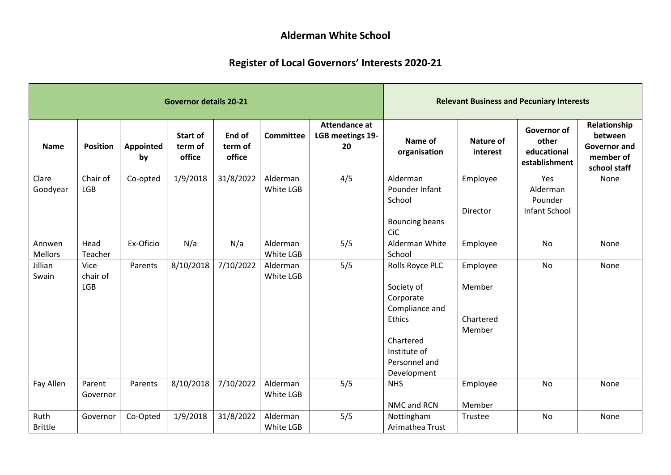## **Alderman White School**

## **Register of Local Governors' Interests 2020-21**

|                          |                                |                 | <b>Governor details 20-21</b> |                             | <b>Relevant Business and Pecuniary Interests</b> |                                                |                                                                                                                                            |                                           |                                                             |                                                                             |
|--------------------------|--------------------------------|-----------------|-------------------------------|-----------------------------|--------------------------------------------------|------------------------------------------------|--------------------------------------------------------------------------------------------------------------------------------------------|-------------------------------------------|-------------------------------------------------------------|-----------------------------------------------------------------------------|
| <b>Name</b>              | <b>Position</b>                | Appointed<br>by | Start of<br>term of<br>office | End of<br>term of<br>office | <b>Committee</b>                                 | <b>Attendance at</b><br>LGB meetings 19-<br>20 | Name of<br>organisation                                                                                                                    | <b>Nature of</b><br>interest              | <b>Governor of</b><br>other<br>educational<br>establishment | Relationship<br>between<br><b>Governor and</b><br>member of<br>school staff |
| Clare<br>Goodyear        | Chair of<br><b>LGB</b>         | Co-opted        | 1/9/2018                      | 31/8/2022                   | Alderman<br>White LGB                            | 4/5                                            | Alderman<br>Pounder Infant<br>School<br><b>Bouncing beans</b><br>CiC                                                                       | Employee<br>Director                      | Yes<br>Alderman<br>Pounder<br>Infant School                 | None                                                                        |
| Annwen<br><b>Mellors</b> | Head<br>Teacher                | Ex-Oficio       | N/a                           | N/a                         | Alderman<br>White LGB                            | 5/5                                            | Alderman White<br>School                                                                                                                   | Employee                                  | No                                                          | None                                                                        |
| Jillian<br>Swain         | Vice<br>chair of<br><b>LGB</b> | Parents         | 8/10/2018                     | 7/10/2022                   | Alderman<br>White LGB                            | 5/5                                            | Rolls Royce PLC<br>Society of<br>Corporate<br>Compliance and<br><b>Ethics</b><br>Chartered<br>Institute of<br>Personnel and<br>Development | Employee<br>Member<br>Chartered<br>Member | No                                                          | None                                                                        |
| Fay Allen                | Parent<br>Governor             | Parents         | 8/10/2018                     | 7/10/2022                   | Alderman<br>White LGB                            | 5/5                                            | <b>NHS</b><br>NMC and RCN                                                                                                                  | Employee<br>Member                        | <b>No</b>                                                   | None                                                                        |
| Ruth<br><b>Brittle</b>   | Governor                       | Co-Opted        | 1/9/2018                      | 31/8/2022                   | Alderman<br>White LGB                            | 5/5                                            | Nottingham<br>Arimathea Trust                                                                                                              | Trustee                                   | No                                                          | None                                                                        |